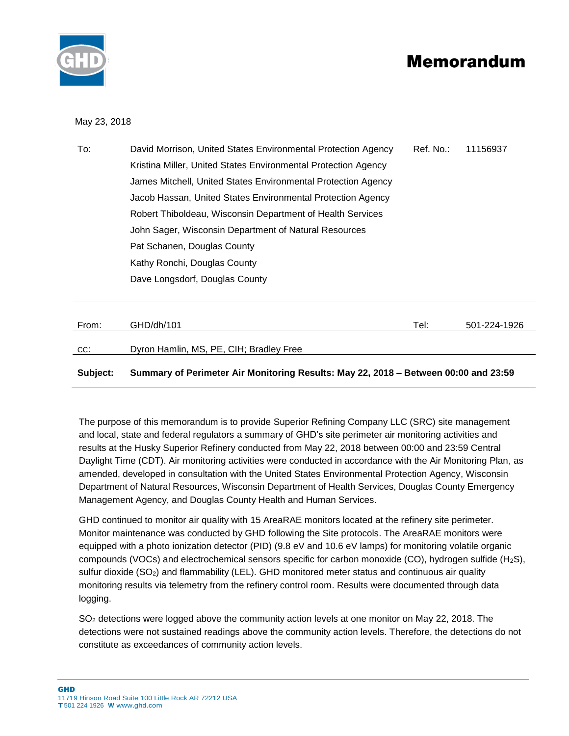



## May 23, 2018

| To: | David Morrison, United States Environmental Protection Agency  | Ref. No.: | 11156937 |
|-----|----------------------------------------------------------------|-----------|----------|
|     | Kristina Miller, United States Environmental Protection Agency |           |          |
|     | James Mitchell, United States Environmental Protection Agency  |           |          |
|     | Jacob Hassan, United States Environmental Protection Agency    |           |          |
|     | Robert Thiboldeau, Wisconsin Department of Health Services     |           |          |
|     | John Sager, Wisconsin Department of Natural Resources          |           |          |
|     | Pat Schanen, Douglas County                                    |           |          |
|     | Kathy Ronchi, Douglas County                                   |           |          |
|     | Dave Longsdorf, Douglas County                                 |           |          |
|     |                                                                |           |          |

| From:    | GHD/dh/101                                                                          | Tel: | 501-224-1926 |
|----------|-------------------------------------------------------------------------------------|------|--------------|
| CC:      | Dyron Hamlin, MS, PE, CIH; Bradley Free                                             |      |              |
| Subject: | Summary of Perimeter Air Monitoring Results: May 22, 2018 – Between 00:00 and 23:59 |      |              |

The purpose of this memorandum is to provide Superior Refining Company LLC (SRC) site management and local, state and federal regulators a summary of GHD's site perimeter air monitoring activities and results at the Husky Superior Refinery conducted from May 22, 2018 between 00:00 and 23:59 Central Daylight Time (CDT). Air monitoring activities were conducted in accordance with the Air Monitoring Plan, as amended, developed in consultation with the United States Environmental Protection Agency, Wisconsin Department of Natural Resources, Wisconsin Department of Health Services, Douglas County Emergency Management Agency, and Douglas County Health and Human Services.

GHD continued to monitor air quality with 15 AreaRAE monitors located at the refinery site perimeter. Monitor maintenance was conducted by GHD following the Site protocols. The AreaRAE monitors were equipped with a photo ionization detector (PID) (9.8 eV and 10.6 eV lamps) for monitoring volatile organic compounds (VOCs) and electrochemical sensors specific for carbon monoxide (CO), hydrogen sulfide (H<sub>2</sub>S), sulfur dioxide (SO<sub>2</sub>) and flammability (LEL). GHD monitored meter status and continuous air quality monitoring results via telemetry from the refinery control room. Results were documented through data logging.

SO<sub>2</sub> detections were logged above the community action levels at one monitor on May 22, 2018. The detections were not sustained readings above the community action levels. Therefore, the detections do not constitute as exceedances of community action levels.